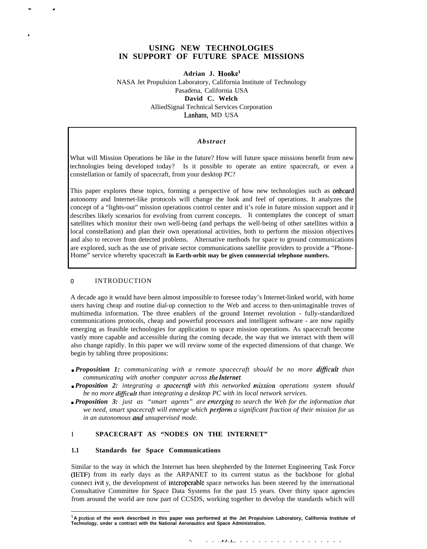# **USING NEW TECHNOLOGIES IN SUPPORT OF FUTURE SPACE MISSIONS**

**Adrian J. Hookel**

NASA Jet Propulsion Laboratory, California Institute of Technology Pasadena, California USA **David C. Welch** AlliedSignal Technical Services Corporation Lanham, MD USA

#### *Abstract*

What will Mission Operations be like in the future? How will future space missions benefit from new technologies being developed today? Is it possible to operate an entire spacecraft, or even a constellation or family of spacecraft, from your desktop PC?

This paper explores these topics, forming a perspective of how new technologies such as onboard autonomy and Internet-like protocols will change the look and feel of operations. It analyzes the concept of a "lights-out" mission operations control center and it's role in future mission support and it describes likely scenarios for evolving from current concepts. It contemplates the concept of smart satellites which monitor their own well-being (and perhaps the well-being of other satellites within a local constellation) and plan their own operational activities, both to perform the mission objectives and also to recover from detected problems. Alternative methods for space to ground communications are explored, such as the use of private sector communications satellite providers to provide a "Phone-Home" service whereby spacecraft in Earth-orbit may be given commercial telephone numbers.

#### o INTRODUCTION

.

A decade ago it would have been almost impossible to foresee today's Internet-linked world, with home users having cheap and routine dial-up connection to the Web and access to then-unimaginable troves of multimedia information. The three enablers of the ground Internet revolution - fully-standardized communications protocols, cheap and powerful processors and intelligent software - are now rapidly emerging as feasible technologies for application to space mission operations. As spacecraft become vastly more capable and accessible during the coming decade, the way that we interact with them will also change rapidly. In this paper we will review some of the expected dimensions of that change. We begin by tabling three propositions:

- *Proposition 1: communicating with a remote spacecraft should be no more dificult than communicating with another computer across the Internet.*
- *Proposition 2: integrating a spacecrajl with this networked missiorl operations system should be no more dificult than integrating a desktop PC with its local network services.*
- **Proposition 3:** just as "smart agents" are emerging to search the Web for the information that we need, smart spacecraft will emerge which **perform** a significant fraction of their mission for us *in an autonomous and unsupervised mode.*

# **<sup>1</sup> SPACECRAFT AS "NODES ON THE INTERNET"**

#### **1.1 Standards for Space Communications**

Similar to the way in which the Internet has been shepherded by the Internet Engineering Task Force (IETF) from its early days as the ARPANET to its current status as the backbone for global connect ivit y, the development of interopcrable space networks has been steered by the international Consultative Committee for Space Data Systems for the past 15 years. Over thirty space agencies from around the world are now part of CCSDS, working together to develop the standards which will

<sup>&#</sup>x27; **A ponion of the work described in this paper was performed at the Jet Propulsion Laboratory, California Institute of Technology, under a contract with the National Aeronautics and Space Administration.**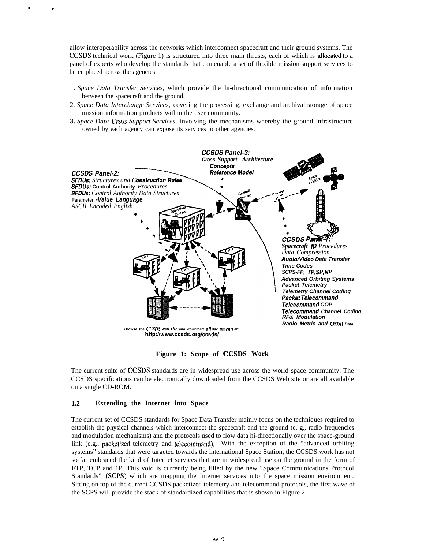allow interoperability across the networks which interconnect spacecraft and their ground systems. The CCSDS technical work (Figure 1) is structured into three main thrusts, each of which is allocated to a panel of experts who develop the standards that can enable a set of flexible mission support services to be emplaced across the agencies:

- 1. *Space Data Transfer Services,* which provide the hi-directional communication of information between the spacecraft and the ground.
- 2. *Space Data Interchange Services,* covering the processing, exchange and archival storage of space mission information products within the user community.
- **3.** *Space Data Cross Support Services,* involving the mechanisms whereby the ground infrastructure owned by each agency can expose its services to other agencies.



**Figure 1: Scope of CCSDS Work**

The current suite of CCSDS standards are in widespread use across the world space community. The CCSDS specifications can be electronically downloaded from the CCSDS Web site or are all available on a single CD-ROM.

## **1.2 Extending the Internet into Space**

. .

The current set of CCSDS standards for Space Data Transfer mainly focus on the techniques required to establish the physical channels which interconnect the spacecraft and the ground (e. g., radio frequencies and modulation mechanisms) and the protocols used to flow data hi-directionally over the space-ground link (e.g., packetized telemetry and telecommand). With the exception of the "advanced orbiting systems" standards that were targeted towards the international Space Station, the CCSDS work has not so far embraced the kind of Internet services that are in widespread use on the ground in the form of FTP, TCP and 1P. This void is currently being filled by the new "Space Communications Protocol Standards" (SCPS) which are mapping the Internet services into the space mission environment. Sitting on top of the current CCSDS packetized telemetry and telecommand protocols, the first wave of the SCPS will provide the stack of standardized capabilities that is shown in Figure 2.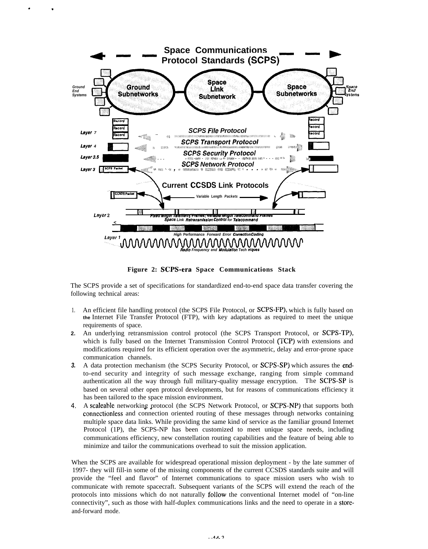

. .

**Figure 2: SCPS-era Space Communications Stack**

The SCPS provide a set of specifications for standardized end-to-end space data transfer covering the following technical areas:

- 1. An efficient file handling protocol (the SCPS File Protocol, or SCPS-FP), which is fully based on **the** Internet File Transfer Protocol (FTP), with key adaptations as required to meet the unique requirements of space.
- **2.** An underlying retransmission control protocol (the SCPS Transport Protocol, or SCPS-TP), which is fully based on the Internet Transmission Control Protocol (TCP) with extensions and modifications required for its efficient operation over the asymmetric, delay and error-prone space communication channels.
- **3.** A data protection mechanism (the SCPS Security Protocol, or SCPS-SP) which assures the endto-end security and integrity of such message exchange, ranging from simple command authentication all the way through full military-quality message encryption. The SCPS-SP is based on several other open protocol developments, but for reasons of communications efficiency it has been tailored to the space mission environment.
- **4.** A scaleable networking protocol (the SCPS Network Protocol, or SCPS-NP) that supports both connectionless and connection oriented routing of these messages through networks containing multiple space data links. While providing the same kind of service as the familiar ground Internet Protocol (1P), the SCPS-NP has been customized to meet unique space needs, including communications efficiency, new constellation routing capabilities and the feature of being able to minimize and tailor the communications overhead to suit the mission application.

When the SCPS are available for widespread operational mission deployment - by the late summer of 1997- they will fill-in some of the missing components of the current CCSDS standards suite and will provide the "feel and flavor" of Internet communications to space mission users who wish to communicate with remote spacecraft. Subsequent variants of the SCPS will extend the reach of the protocols into missions which do not naturally follow the conventional Internet model of "on-line connectivity", such as those with half-duplex communications links and the need to operate in a storeand-forward mode.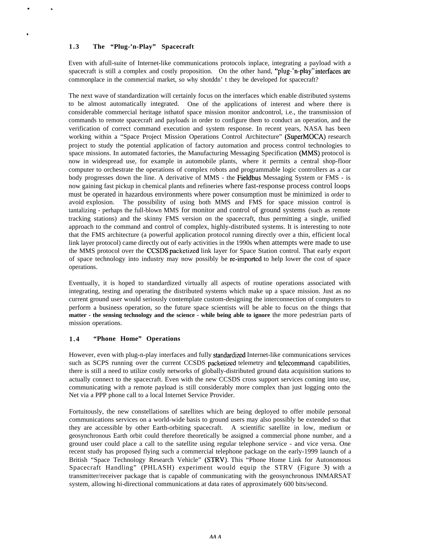# **1.3 The "Plug-'n-Play" Spacecraft**

. .

.

Even with afull-suite of Internet-like communications protocols inplace, integrating a payload with a spacecraft is still a complex and costly proposition. On the other hand, "plug-'n-play" interfaces are commonplace in the commercial market, so why shotddn' t they be developed for spacecraft?

The next wave of standardization will certainly focus on the interfaces which enable distributed systems to be almost automatically integrated. One of the applications of interest and where there is considerable commercial heritage isthatof space mission monitor andcontrol, i.e., the transmission of commands to remote spacecraft and payloads in order to configure them to conduct an operation, and the verification of correct command execution and system response. In recent years, NASA has been working within a "Space Project Mission Operations Control Architecture" (SuperMOCA) research project to study the potential application of factory automation and process control technologies to space missions. In automated factories, the Manufacturing Messaging Specification (MMS) protocol is now in widespread use, for example in automobile plants, where it permits a central shop-floor computer to orchestrate the operations of complex robots and programmable logic controllers as a car body progresses down the line. A derivative of MMS - the Fieldbus Messaging System or FMS - is now gaining fast pickup in chemical plants and refineries where fast-response process control loops must be operated in hazardous environments where power consumption must be minimized in order to avoid explosion. The possibility of using both MMS and FMS for space mission control is tantalizing - perhaps the full-blown MMS for monitor and control of ground systems (such as remote tracking stations) and the skinny FMS version on the spacecraft, thus permitting a single, unified approach to the command and control of complex, highly-distributed systems. It is interesting to note that the FMS architecture (a powerful application protocol running directly over a thin, efficient local link layer protocol) came directly out of early activities in the 1990s when attempts were made to use the MMS protocol over the CCSDS packetized link layer for Space Station control. That early export of space technology into industry may now possibly be re-imported to help lower the cost of space operations.

Eventually, it is hoped to standardized virtually all aspects of routine operations associated with integrating, testing and operating the distributed systems which make up a space mission. Just as no current ground user would seriously contemplate custom-designing the interconnection of computers to perform a business operation, so the future space scientists will be able to focus on the things that **matter - the sensing technology and the science - while being able to ignore** the more pedestrian parts of mission operations.

# **1.4 "Phone Home" Operations**

However, even with plug-n-play interfaces and fully standardized Internet-like communications services such as SCPS running over the current CCSDS packetized telemetry and telecommand capabilities, there is still a need to utilize costly networks of globally-distributed ground data acquisition stations to actually connect to the spacecraft. Even with the new CCSDS cross support services coming into use, communicating with a remote payload is still considerably more complex than just logging onto the Net via a PPP phone call to a local Internet Service Provider.

Fortuitously, the new constellations of satellites which are being deployed to offer mobile personal communications services on a world-wide basis to ground users may also possibly be extended so that they are accessible by other Earth-orbiting spacecraft. A scientific satellite in low, medium or geosynchronous Earth orbit could therefore theoretically be assigned a commercial phone number, and a ground user could place a call to the satellite using regular telephone service - and vice versa. One recent study has proposed flying such a commercial telephone package on the early-1999 launch of a British "Space Technology Research Vehicle" (STRV). This "Phone Home Link for Autonomous Spacecraft Handling" (PHLASH) experiment would equip the STRV (Figure 3) with a transmitter/receiver package that is capable of communicating with the geosynchronous INMARSAT system, allowing hi-directional communications at data rates of approximately 600 bits/second.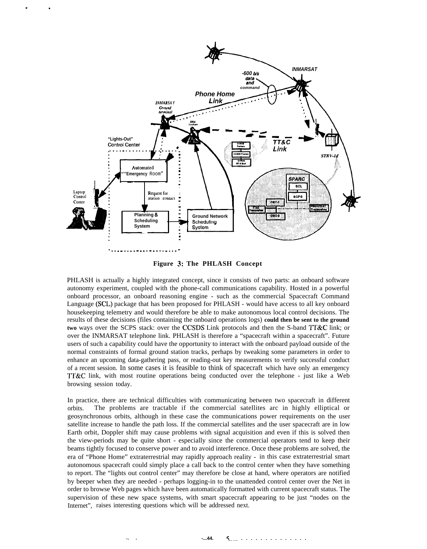

. .

**Figure 3: The PHLASH Concept**

PHLASH is actually a highly integrated concept, since it consists of two parts: an onboard software autonomy experiment, coupled with the phone-call communications capability. Hosted in a powerful onboard processor, an onboard reasoning engine - such as the commercial Spacecraft Command Language (SCL) package that has been proposed for PHLASH - would have access to all key onboard housekeeping telemetry and would therefore be able to make autonomous local control decisions. The results of these decisions (files containing the onboard operations logs) **could then be sent to the ground two** ways over the SCPS stack: over the CCSDS Link protocols and then the S-band TT&C link; or over the INMARSAT telephone link. PHLASH is therefore a "spacecraft within a spacecraft". Future users of such a capability could have the opportunity to interact with the onboard payload outside of the normal constraints of formal ground station tracks, perhaps by tweaking some parameters in order to enhance an upcoming data-gathering pass, or reading-out key measurements to verify successful conduct of a recent session. In some cases it is feasible to think of spacecraft which have only an emergency 1"1'&C link, with most routine operations being conducted over the telephone - just like a Web browsing session today.

In practice, there are technical difficulties with communicating between two spacecraft in different orbits. The problems are tractable if the commercial satellites arc in highly elliptical or geosynchronous orbits, although in these case the communications power requirements on the user satellite increase to handle the path loss. If the commercial satellites and the user spacecraft are in low Earth orbit, Doppler shift may cause problems with signal acquisition and even if this is solved then the view-periods may be quite short - especially since the commercial operators tend to keep their beams tightly focused to conserve power and to avoid interference. Once these problems are solved, the era of "Phone Home" extraterrestrial may rapidly approach reality - in this case extraterrestrial smart autonomous spacecraft could simply place a call back to the control center when they have something to report. The "lights out control center" may therefore be close at hand, where operators are notified by beeper when they are needed - perhaps logging-in to the unattended control center over the Net in order to browse Web pages which have been automatically formatted with current spacecraft status. The supervision of these new space systems, with smart spacecraft appearing to be just "nodes on the Internet", raises interesting questions which will be addressed next.

. . **-...44. %..... . . . . . . . . . . . . . .**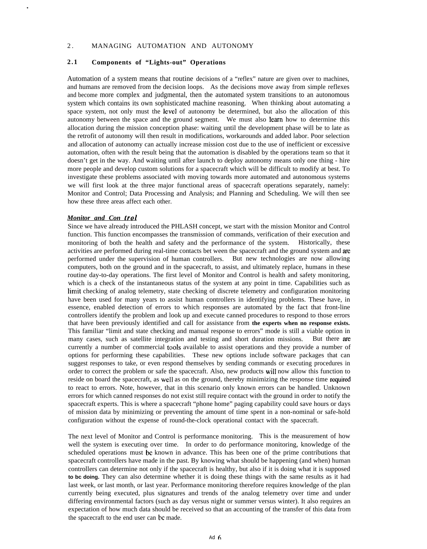# 2. MANAGING AUTOMATION AND AUTONOMY

## **2.1 Components of "Lights-out" Operations**

Automation of a system means that routine decisions of a "reflex" nature are given over to machines, and humans are removed from the decision loops. As the decisions move away from simple reflexes and become more complex and judgmental, then the automated system transitions to an autonomous system which contains its own sophisticated machine reasoning. When thinking about automating a space system, not only must the level of autonomy be determined, but also the allocation of this autonomy between the space and the ground segment. We must also learn how to determine this allocation during the mission conception phase: waiting until the development phase will be to late as the retrofit of autonomy will then result in modifications, workarounds and added labor. Poor selection and allocation of autonomy can actually increase mission cost due to the use of inefficient or excessive automation, often with the result being that the automation is disabled by the operations team so that it doesn't get in the way. And waiting until after launch to deploy autonomy means only one thing - hire more people and develop custom solutions for a spacecraft which will be difficult to modify at best. To investigate these problems associated with moving towards more automated and autonomous systems we will first look at the three major functional areas of spacecraft operations separately, namely: Monitor and Control; Data Processing and Analysis; and Planning and Scheduling. We will then see how these three areas affect each other.

#### *Monitor and Con trol*

Since we have already introduced the PHLASH concept, we start with the mission Monitor and Control function. This function encompasses the transmission of commands, verification of their execution and monitoring of both the health and safety and the performance of the system. Historically, these activities are performed during real-time contacts bet ween the spacecraft and the ground system and are performed under the supervision of human controllers. But new technologies are now allowing computers, both on the ground and in the spacecraft, to assist, and ultimately replace, humans in these routine day-to-day operations. The first level of Monitor and Control is health and safety monitoring, which is a check of the instantaneous status of the system at any point in time. Capabilities such as limit checking of analog telemetry, state checking of discrete telemetry and configuration monitoring have been used for many years to assist human controllers in identifying problems. These have, in essence, enabled detection of errors to which responses are automated by the fact that front-line controllers identify the problem and look up and execute canned procedures to respond to those errors that have been previously identified and call for assistance from **the experts when no response exists.** This familiar "limit and state checking and manual response to errors" mode is still a viable option in many cases, such as satellite integration and testing and short duration missions. But there me currently a number of commercial tools available to assist operations and they provide a number of options for performing these capabilities. These new options include software packages that can suggest responses to take, or even respond themselves by sending commands or executing procedures in order to correct the problem or safe the spacecraft. Also, new products will now allow this function to reside on board the spacecraft, as well as on the ground, thereby minimizing the response time required to react to errors. Note, however, that in this scenario only known errors can be handled. Unknown errors for which canned responses do not exist still require contact with the ground in order to notify the spacecraft experts. This is where a spacecraft "phone home" paging capability could save hours or days of mission data by minimizing or preventing the amount of time spent in a non-nominal or safe-hold configuration without the expense of round-the-clock operational contact with the spacecraft.

The next level of Monitor and Control is performance monitoring. This is the measurement of how well the system is executing over time. In order to do performance monitoring, knowledge of the scheduled operations must bc known in advance. This has been one of the prime contributions that spacecraft controllers have made in the past. By knowing what should be happening (and when) human controllers can determine not only if the spacecraft is healthy, but also if it is doing what it is supposed **to bc doing.** They can also determine whether it is doing these things with the same results as it had last week, or last month, or last year. Performance monitoring therefore requires knowledge of the plan currently being executed, plus signatures and trends of the analog telemetry over time and under differing environmental factors (such as day versus night or summer versus winter). It also requires an expectation of how much data should be received so that an accounting of the transfer of this data from the spacecraft to the end user can bc made.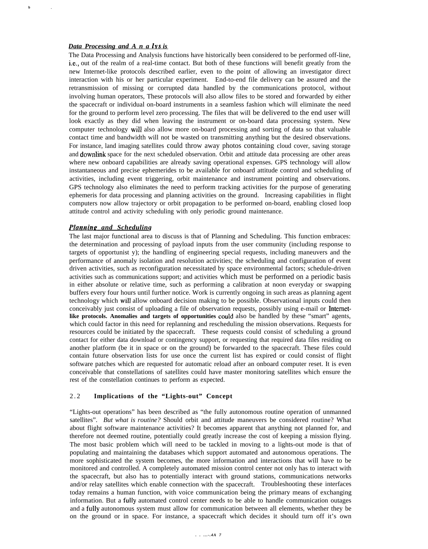#### *Data Processing and A n a lvs is*

**b .**

The Data Processing and Analysis functions have historically been considered to be performed off-line, i.e,, out of the realm of a real-time contact. But both of these functions will benefit greatly from the new Internet-like protocols described earlier, even to the point of allowing an investigator direct interaction with his or her particular experiment. End-to-end file delivery can be assured and the retransmission of missing or corrupted data handled by the communications protocol, without involving human operators, These protocols will also allow files to be stored and forwarded by either the spacecraft or individual on-board instruments in a seamless fashion which will eliminate the need for the ground to perform level zero processing. The files that will be delivered to the end user will look exactly as they did when leaving the instrument or on-board data processing system. New computer technology will also allow more on-board processing and sorting of data so that valuable contact time and bandwidth will not be wasted on transmitting anything but the desired observations. For instance, land imaging satellites could throw away photos containing cloud cover, saving storage and downlink space for the next scheduled observation. Orbit and attitude data processing are other areas where new onboard capabilities are already saving operational expenses. GPS technology will allow instantaneous and precise ephemerides to be available for onboard attitude control and scheduling of activities, including event triggering, orbit maintenance and instrument pointing and observations. GPS technology also eliminates the need to perform tracking activities for the purpose of generating ephemeris for data processing and planning activities on the ground. Increasing capabilities in flight computers now allow trajectory or orbit propagation to be performed on-board, enabling closed loop attitude control and activity scheduling with only periodic ground maintenance.

## *Plannine and Scheduling*

The last major functional area to discuss is that of Planning and Scheduling. This function embraces: the determination and processing of payload inputs from the user community (including response to targets of opportunist y); the handling of engineering special requests, including maneuvers and the performance of anomaly isolation and resolution activities; the scheduling and configuration of event driven activities, such as reconfiguration necessitated by space environmental factors; schedule-driven activities such as communications support; and activities which must be performed on a periodic basis in either absolute or relative time, such as performing a calibration at noon everyday or swapping buffers every four hours until further notice. Work is currently ongoing in such areas as planning agent technology which will allow onboard decision making to be possible. Observational inputs could then conceivably just consist of uploading a file of observation requests, possibly using e-mail or Intemet**like protocols. Anomalies and targets of opportunities** could also be handled by these "smart" agents, which could factor in this need for replanning and rescheduling the mission observations. Requests for resources could be initiated by the spacecraft. These requests could consist of scheduling a ground contact for either data download or contingency support, or requesting that required data files residing on another platform (be it in space or on the ground) be forwarded to the spacecraft. These files could contain future observation lists for use once the current list has expired or could consist of flight software patches which are requested for automatic reload after an onboard computer reset. It is even conceivable that constellations of satellites could have master monitoring satellites which ensure the rest of the constellation continues to perform as expected.

## 2 . 2 **Implications of the "Lights-out" Concept**

"Lights-out operations" has been described as "the fully autonomous routine operation of unmanned satellites". *But what is routine?* Should orbit and attitude maneuvers be considered routine? What about flight software maintenance activities? It becomes apparent that anything not planned for, and therefore not deemed routine, potentially could greatly increase the cost of keeping a mission flying. The most basic problem which will need to be tackled in moving to a lights-out mode is that of populating and maintaining the databases which support automated and autonomous operations. The more sophisticated the system becomes, the more information and interactions that will have to be monitored and controlled. A completely automated mission control center not only has to interact with the spacecraft, but also has to potentially interact with ground stations, communications networks and/or relay satellites which enable connection with the spacecraft. Troubleshooting these interfaces today remains a human function, with voice communication being the primary means of exchanging information. But a fully automated control center needs to be able to handle communication outages and a fully autonomous system must allow for communication between all elements, whether they be on the ground or in space. For instance, a spacecraft which decides it should turn off it's own